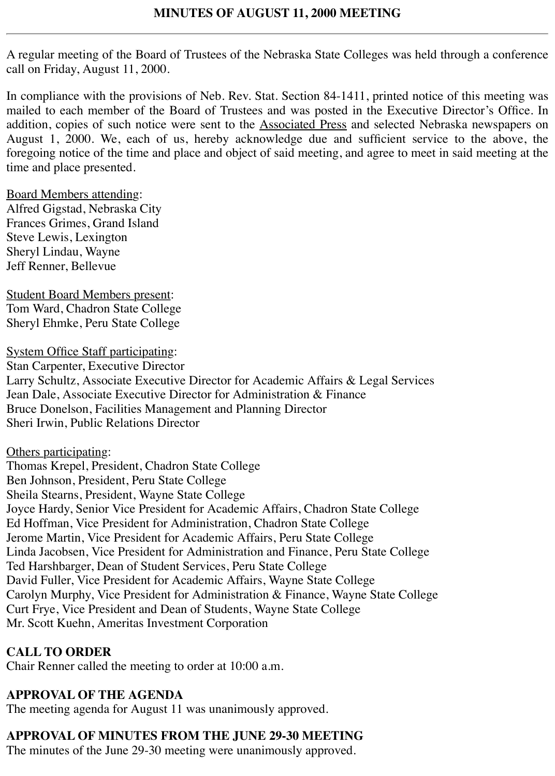A regular meeting of the Board of Trustees of the Nebraska State Colleges was held through a conference call on Friday, August 11, 2000.

In compliance with the provisions of Neb. Rev. Stat. Section 84-1411, printed notice of this meeting was mailed to each member of the Board of Trustees and was posted in the Executive Director's Office. In addition, copies of such notice were sent to the **Associated Press** and selected Nebraska newspapers on August 1, 2000. We, each of us, hereby acknowledge due and sufficient service to the above, the foregoing notice of the time and place and object of said meeting, and agree to meet in said meeting at the time and place presented.

### Board Members attending:

Alfred Gigstad, Nebraska City Frances Grimes, Grand Island Steve Lewis, Lexington Sheryl Lindau, Wayne Jeff Renner, Bellevue

Student Board Members present: Tom Ward, Chadron State College Sheryl Ehmke, Peru State College

System Office Staff participating: Stan Carpenter, Executive Director Larry Schultz, Associate Executive Director for Academic Affairs & Legal Services Jean Dale, Associate Executive Director for Administration & Finance Bruce Donelson, Facilities Management and Planning Director Sheri Irwin, Public Relations Director

### Others participating:

Thomas Krepel, President, Chadron State College Ben Johnson, President, Peru State College Sheila Stearns, President, Wayne State College Joyce Hardy, Senior Vice President for Academic Affairs, Chadron State College Ed Hoffman, Vice President for Administration, Chadron State College Jerome Martin, Vice President for Academic Affairs, Peru State College Linda Jacobsen, Vice President for Administration and Finance, Peru State College Ted Harshbarger, Dean of Student Services, Peru State College David Fuller, Vice President for Academic Affairs, Wayne State College Carolyn Murphy, Vice President for Administration & Finance, Wayne State College Curt Frye, Vice President and Dean of Students, Wayne State College Mr. Scott Kuehn, Ameritas Investment Corporation

## **CALL TO ORDER**

Chair Renner called the meeting to order at 10:00 a.m.

## **APPROVAL OF THE AGENDA**

The meeting agenda for August 11 was unanimously approved.

# **APPROVAL OF MINUTES FROM THE JUNE 29-30 MEETING**

The minutes of the June 29-30 meeting were unanimously approved.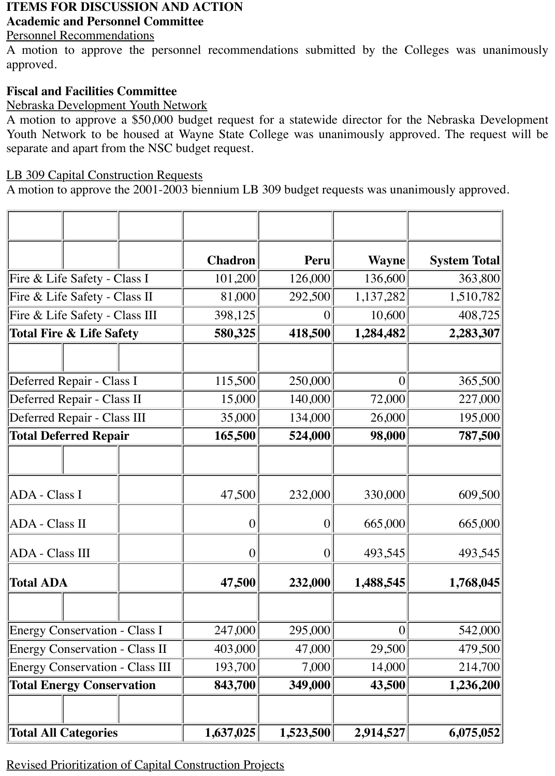# **ITEMS FOR DISCUSSION AND ACTION**

## **Academic and Personnel Committee**

### Personnel Recommendations

A motion to approve the personnel recommendations submitted by the Colleges was unanimously approved.

### **Fiscal and Facilities Committee**

### Nebraska Development Youth Network

A motion to approve a \$50,000 budget request for a statewide director for the Nebraska Development Youth Network to be housed at Wayne State College was unanimously approved. The request will be separate and apart from the NSC budget request.

### LB 309 Capital Construction Requests

A motion to approve the 2001-2003 biennium LB 309 budget requests was unanimously approved.

|                                        |  | <b>Chadron</b>   | Peru             | <b>Wayne</b>   | <b>System Total</b> |
|----------------------------------------|--|------------------|------------------|----------------|---------------------|
| Fire & Life Safety - Class I           |  | 101,200          | 126,000          | 136,600        | 363,800             |
| Fire & Life Safety - Class II          |  | 81,000           | 292,500          | 1,137,282      | 1,510,782           |
| Fire & Life Safety - Class III         |  | 398,125          | $\overline{0}$   | 10,600         | 408,725             |
| <b>Total Fire &amp; Life Safety</b>    |  | 580,325          | 418,500          | 1,284,482      | 2,283,307           |
|                                        |  |                  |                  |                |                     |
| Deferred Repair - Class I              |  | 115,500          | 250,000          | $\overline{0}$ | 365,500             |
| Deferred Repair - Class II             |  | 15,000           | 140,000          | 72,000         | 227,000             |
| Deferred Repair - Class III            |  | 35,000           | 134,000          | 26,000         | 195,000             |
| <b>Total Deferred Repair</b>           |  | 165,500          | 524,000          | 98,000         | 787,500             |
|                                        |  |                  |                  |                |                     |
| ADA - Class I                          |  | 47,500           | 232,000          | 330,000        | 609,500             |
| ADA - Class II                         |  | $\boldsymbol{0}$ | $\overline{0}$   | 665,000        | 665,000             |
| <b>ADA</b> - Class III                 |  | $\boldsymbol{0}$ | $\boldsymbol{0}$ | 493,545        | 493,545             |
| <b>Total ADA</b>                       |  | 47,500           | 232,000          | 1,488,545      | 1,768,045           |
|                                        |  |                  |                  |                |                     |
| <b>Energy Conservation - Class I</b>   |  | 247,000          | 295,000          | $\overline{0}$ | 542,000             |
| <b>Energy Conservation - Class II</b>  |  | 403,000          | 47,000           | 29,500         | 479,500             |
| <b>Energy Conservation - Class III</b> |  | 193,700          | 7,000            | 14,000         | 214,700             |
| <b>Total Energy Conservation</b>       |  | 843,700          | 349,000          | 43,500         | 1,236,200           |
|                                        |  |                  |                  |                |                     |
| <b>Total All Categories</b>            |  | 1,637,025        | 1,523,500        | 2,914,527      | 6,075,052           |

Revised Prioritization of Capital Construction Projects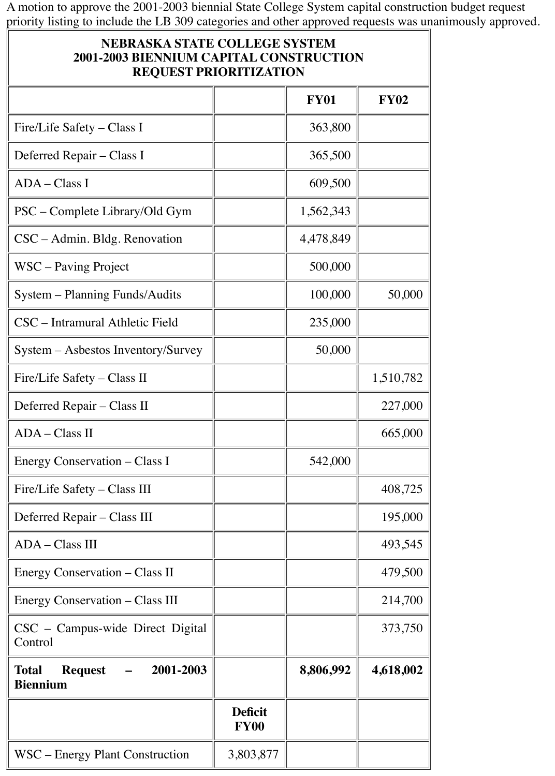A motion to approve the 2001-2003 biennial State College System capital construction budget request priority listing to include the LB 309 categories and other approved requests was unanimously approved.

## **NEBRASKA STATE COLLEGE SYSTEM 2001-2003 BIENNIUM CAPITAL CONSTRUCTION REQUEST PRIORITIZATION**

|                                                         |                               | <b>FY01</b> | <b>FY02</b> |
|---------------------------------------------------------|-------------------------------|-------------|-------------|
| Fire/Life Safety – Class I                              |                               | 363,800     |             |
| Deferred Repair - Class I                               |                               | 365,500     |             |
| $ADA - Class I$                                         |                               | 609,500     |             |
| PSC – Complete Library/Old Gym                          |                               | 1,562,343   |             |
| $CSC - Admin. Bldg. Renovation$                         |                               | 4,478,849   |             |
| WSC – Paving Project                                    |                               | 500,000     |             |
| System – Planning Funds/Audits                          |                               | 100,000     | 50,000      |
| CSC – Intramural Athletic Field                         |                               | 235,000     |             |
| System – Asbestos Inventory/Survey                      |                               | 50,000      |             |
| Fire/Life Safety – Class II                             |                               |             | 1,510,782   |
| Deferred Repair - Class II                              |                               |             | 227,000     |
| ADA - Class II                                          |                               |             | 665,000     |
| Energy Conservation – Class I                           |                               | 542,000     |             |
| Fire/Life Safety – Class III                            |                               |             | 408,725     |
| Deferred Repair – Class III                             |                               |             | 195,000     |
| ADA - Class III                                         |                               |             | 493,545     |
| Energy Conservation – Class II                          |                               |             | 479,500     |
| Energy Conservation – Class III                         |                               |             | 214,700     |
| CSC - Campus-wide Direct Digital<br>Control             |                               |             | 373,750     |
| 2001-2003<br>Total<br><b>Request</b><br><b>Biennium</b> |                               | 8,806,992   | 4,618,002   |
|                                                         | <b>Deficit</b><br><b>FY00</b> |             |             |
| WSC – Energy Plant Construction                         | 3,803,877                     |             |             |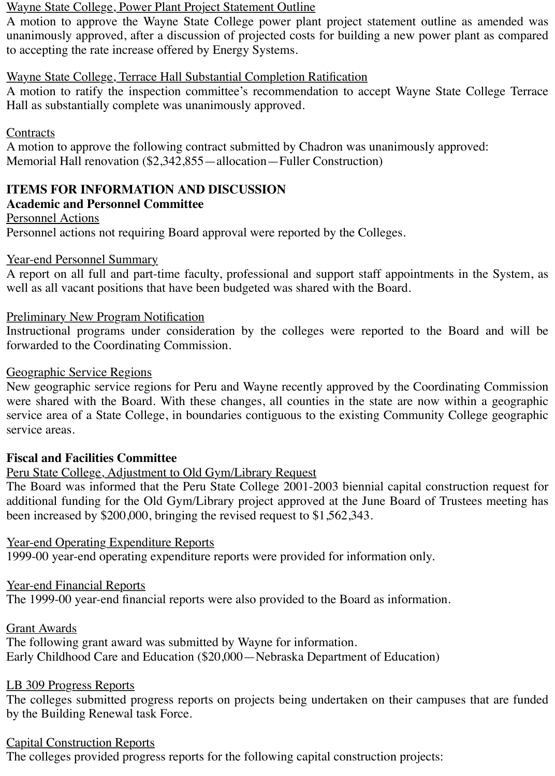### Wayne State College, Power Plant Project Statement Outline

A motion to approve the Wayne State College power plant project statement outline as amended was unanimously approved, after a discussion of projected costs for building a new power plant as compared to accepting the rate increase offered by Energy Systems.

### Wayne State College, Terrace Hall Substantial Completion Ratification

A motion to ratify the inspection committee's recommendation to accept Wayne State College Terrace Hall as substantially complete was unanimously approved.

### **Contracts**

A motion to approve the following contract submitted by Chadron was unanimously approved: Memorial Hall renovation (\$2,342,855—allocation—Fuller Construction)

## **ITEMS FOR INFORMATION AND DISCUSSION**

### **Academic and Personnel Committee**

Personnel Actions

Personnel actions not requiring Board approval were reported by the Colleges.

### Year-end Personnel Summary

A report on all full and part-time faculty, professional and support staff appointments in the System, as well as all vacant positions that have been budgeted was shared with the Board.

### Preliminary New Program Notification

Instructional programs under consideration by the colleges were reported to the Board and will be forwarded to the Coordinating Commission.

### Geographic Service Regions

New geographic service regions for Peru and Wayne recently approved by the Coordinating Commission were shared with the Board. With these changes, all counties in the state are now within a geographic service area of a State College, in boundaries contiguous to the existing Community College geographic service areas.

### **Fiscal and Facilities Committee**

## Peru State College, Adjustment to Old Gym/Library Request

The Board was informed that the Peru State College 2001-2003 biennial capital construction request for additional funding for the Old Gym/Library project approved at the June Board of Trustees meeting has been increased by \$200,000, bringing the revised request to \$1,562,343.

## Year-end Operating Expenditure Reports

1999-00 year-end operating expenditure reports were provided for information only.

## Year-end Financial Reports

The 1999-00 year-end financial reports were also provided to the Board as information.

## Grant Awards

The following grant award was submitted by Wayne for information. Early Childhood Care and Education (\$20,000—Nebraska Department of Education)

## LB 309 Progress Reports

The colleges submitted progress reports on projects being undertaken on their campuses that are funded by the Building Renewal task Force.

## Capital Construction Reports

The colleges provided progress reports for the following capital construction projects: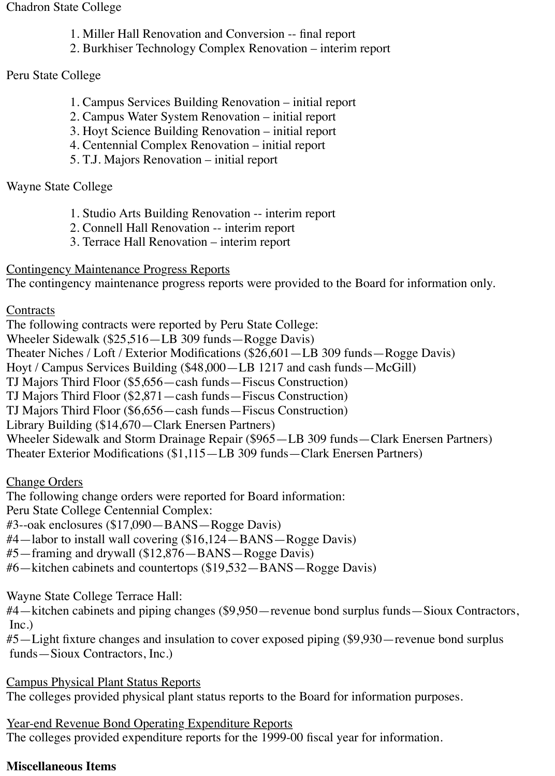#### Chadron State College

- 1. Miller Hall Renovation and Conversion -- final report
- 2. Burkhiser Technology Complex Renovation interim report

## Peru State College

- 1. Campus Services Building Renovation initial report
- 2. Campus Water System Renovation initial report
- 3. Hoyt Science Building Renovation initial report
- 4. Centennial Complex Renovation initial report
- 5. T.J. Majors Renovation initial report

## Wayne State College

- 1. Studio Arts Building Renovation -- interim report
- 2. Connell Hall Renovation -- interim report
- 3. Terrace Hall Renovation interim report

## Contingency Maintenance Progress Reports

The contingency maintenance progress reports were provided to the Board for information only.

## **Contracts**

The following contracts were reported by Peru State College: Wheeler Sidewalk (\$25,516—LB 309 funds—Rogge Davis) Theater Niches / Loft / Exterior Modifications (\$26,601—LB 309 funds—Rogge Davis) Hoyt / Campus Services Building (\$48,000—LB 1217 and cash funds—McGill) TJ Majors Third Floor (\$5,656—cash funds—Fiscus Construction) TJ Majors Third Floor (\$2,871—cash funds—Fiscus Construction) TJ Majors Third Floor (\$6,656—cash funds—Fiscus Construction) Library Building (\$14,670—Clark Enersen Partners) Wheeler Sidewalk and Storm Drainage Repair (\$965—LB 309 funds—Clark Enersen Partners) Theater Exterior Modifications (\$1,115—LB 309 funds—Clark Enersen Partners)

## Change Orders

The following change orders were reported for Board information:

Peru State College Centennial Complex:

#3--oak enclosures (\$17,090—BANS—Rogge Davis)

- #4—labor to install wall covering (\$16,124—BANS—Rogge Davis)
- #5—framing and drywall (\$12,876—BANS—Rogge Davis)
- #6—kitchen cabinets and countertops (\$19,532—BANS—Rogge Davis)

Wayne State College Terrace Hall:

#4—kitchen cabinets and piping changes (\$9,950—revenue bond surplus funds—Sioux Contractors, Inc.)

#5—Light fixture changes and insulation to cover exposed piping (\$9,930—revenue bond surplus funds—Sioux Contractors, Inc.)

Campus Physical Plant Status Reports

The colleges provided physical plant status reports to the Board for information purposes.

Year-end Revenue Bond Operating Expenditure Reports The colleges provided expenditure reports for the 1999-00 fiscal year for information.

## **Miscellaneous Items**